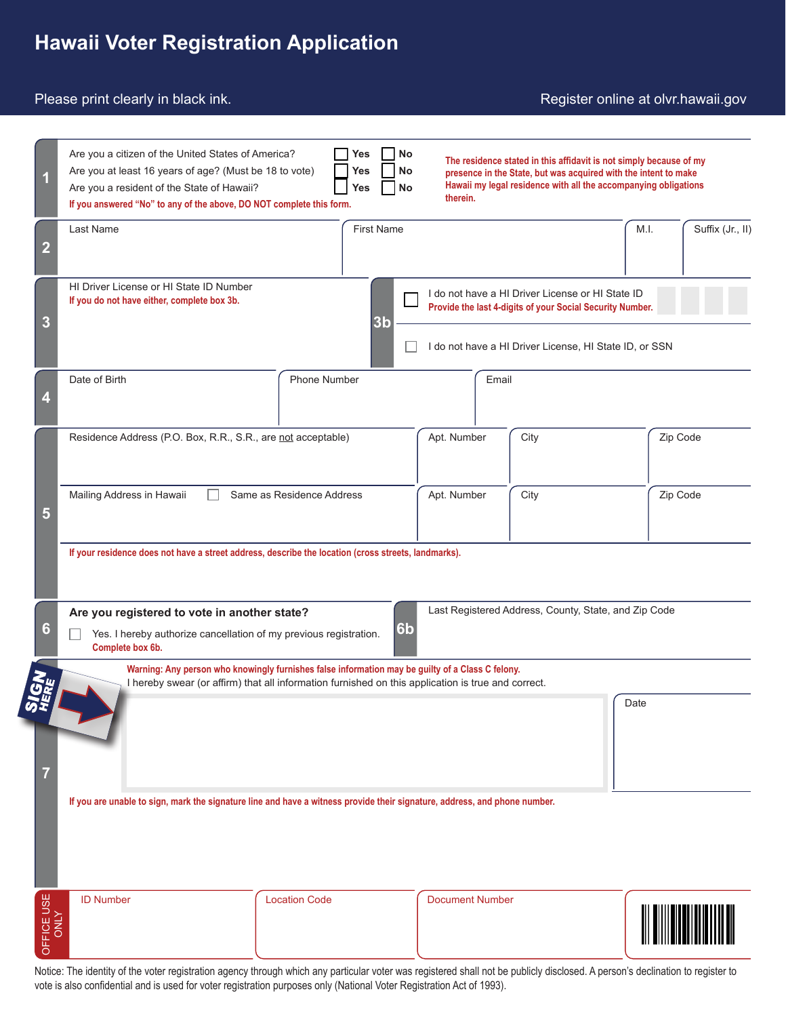# **Hawaii Voter Registration Application**

#### Please print clearly in black ink.

#### Register online at olvr.hawaii.gov

| 1              | Are you a citizen of the United States of America?<br><b>No</b><br>Yes<br>The residence stated in this affidavit is not simply because of my<br>Are you at least 16 years of age? (Must be 18 to vote)<br><b>No</b><br>Yes<br>presence in the State, but was acquired with the intent to make<br>Hawaii my legal residence with all the accompanying obligations<br>Are you a resident of the State of Hawaii?<br><b>No</b><br>Yes<br>therein.<br>If you answered "No" to any of the above, DO NOT complete this form. |                                                                                                                                                                                                        |                        |       |          |                  |
|----------------|------------------------------------------------------------------------------------------------------------------------------------------------------------------------------------------------------------------------------------------------------------------------------------------------------------------------------------------------------------------------------------------------------------------------------------------------------------------------------------------------------------------------|--------------------------------------------------------------------------------------------------------------------------------------------------------------------------------------------------------|------------------------|-------|----------|------------------|
| $\overline{2}$ | <b>First Name</b><br>Last Name                                                                                                                                                                                                                                                                                                                                                                                                                                                                                         |                                                                                                                                                                                                        |                        |       | M.I.     | Suffix (Jr., II) |
| 3              | HI Driver License or HI State ID Number<br>I do not have a HI Driver License or HI State ID<br>If you do not have either, complete box 3b.<br>Provide the last 4-digits of your Social Security Number.<br>3 <sub>b</sub><br>I do not have a HI Driver License, HI State ID, or SSN                                                                                                                                                                                                                                    |                                                                                                                                                                                                        |                        |       |          |                  |
| 4              | Date of Birth                                                                                                                                                                                                                                                                                                                                                                                                                                                                                                          | <b>Phone Number</b>                                                                                                                                                                                    |                        | Email |          |                  |
|                | Residence Address (P.O. Box, R.R., S.R., are not acceptable)                                                                                                                                                                                                                                                                                                                                                                                                                                                           |                                                                                                                                                                                                        | Apt. Number            | City  | Zip Code |                  |
| 5              | Mailing Address in Hawaii<br>Same as Residence Address                                                                                                                                                                                                                                                                                                                                                                                                                                                                 |                                                                                                                                                                                                        | City<br>Apt. Number    |       | Zip Code |                  |
|                | If your residence does not have a street address, describe the location (cross streets, landmarks).                                                                                                                                                                                                                                                                                                                                                                                                                    |                                                                                                                                                                                                        |                        |       |          |                  |
| 6              | Last Registered Address, County, State, and Zip Code<br>Are you registered to vote in another state?<br>6 <sub>b</sub><br>Yes. I hereby authorize cancellation of my previous registration.<br>Complete box 6b.                                                                                                                                                                                                                                                                                                        |                                                                                                                                                                                                        |                        |       |          |                  |
|                |                                                                                                                                                                                                                                                                                                                                                                                                                                                                                                                        | Warning: Any person who knowingly furnishes false information may be guilty of a Class C felony.<br>I hereby swear (or affirm) that all information furnished on this application is true and correct. |                        |       |          |                  |
| 7              | Date                                                                                                                                                                                                                                                                                                                                                                                                                                                                                                                   |                                                                                                                                                                                                        |                        |       |          |                  |
|                | If you are unable to sign, mark the signature line and have a witness provide their signature, address, and phone number.                                                                                                                                                                                                                                                                                                                                                                                              |                                                                                                                                                                                                        |                        |       |          |                  |
| OFFICE USE     | <b>ID Number</b>                                                                                                                                                                                                                                                                                                                                                                                                                                                                                                       | <b>Location Code</b>                                                                                                                                                                                   | <b>Document Number</b> |       |          |                  |

Notice: The identity of the voter registration agency through which any particular voter was registered shall not be publicly disclosed. A person's declination to register to vote is also confidential and is used for voter registration purposes only (National Voter Registration Act of 1993).